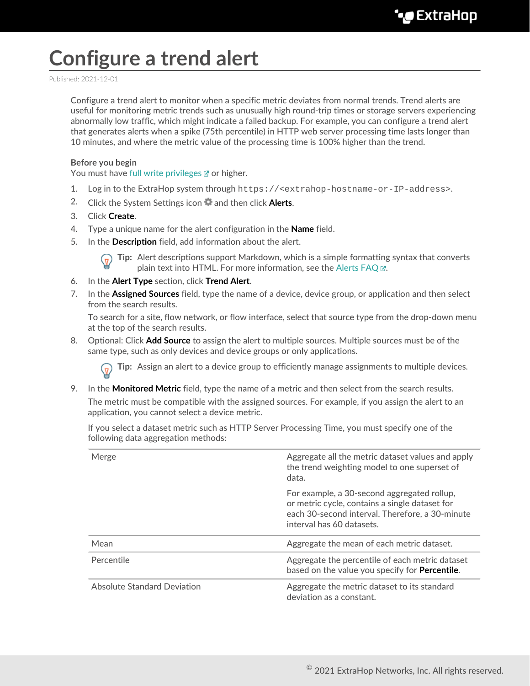## **Configure a trend alert**

Published: 2021-12-01

Configure a trend alert to monitor when a specific metric deviates from normal trends. Trend alerts are useful for monitoring metric trends such as unusually high round-trip times or storage servers experiencing abnormally low traffic, which might indicate a failed backup. For example, you can configure a trend alert that generates alerts when a spike (75th percentile) in HTTP web server processing time lasts longer than 10 minutes, and where the metric value of the processing time is 100% higher than the trend.

## **Before you begin**

You must have [full write privileges](https://docs.extrahop.com/8.7/eh-admin-ui-guide/#user-privileges) **or higher**.

- 1. Log in to the ExtraHop system through https://<extrahop-hostname-or-IP-address>.
- 2. Click the System Settings icon **and then click Alerts.**
- 3. Click **Create**.
- 4. Type a unique name for the alert configuration in the **Name** field.
- 5. In the **Description** field, add information about the alert.

**Tip:** Alert descriptions support Markdown, which is a simple formatting syntax that converts plain text into HTML. For more information, see the Alerts FAQ E.

- 6. In the **Alert Type** section, click **Trend Alert**.
- 7. In the **Assigned Sources** field, type the name of a device, device group, or application and then select from the search results.

To search for a site, flow network, or flow interface, select that source type from the drop-down menu at the top of the search results.

8. Optional: Click **Add Source** to assign the alert to multiple sources. Multiple sources must be of the same type, such as only devices and device groups or only applications.

**Tip:** Assign an alert to a device group to efficiently manage assignments to multiple devices.

9. In the **Monitored Metric** field, type the name of a metric and then select from the search results. The metric must be compatible with the assigned sources. For example, if you assign the alert to an application, you cannot select a device metric.

If you select a dataset metric such as HTTP Server Processing Time, you must specify one of the following data aggregation methods:

| Merge                              | Aggregate all the metric dataset values and apply<br>the trend weighting model to one superset of<br>data.                                                                    |
|------------------------------------|-------------------------------------------------------------------------------------------------------------------------------------------------------------------------------|
|                                    | For example, a 30-second aggregated rollup,<br>or metric cycle, contains a single dataset for<br>each 30-second interval. Therefore, a 30-minute<br>interval has 60 datasets. |
| Mean                               | Aggregate the mean of each metric dataset.                                                                                                                                    |
| Percentile                         | Aggregate the percentile of each metric dataset<br>based on the value you specify for <b>Percentile</b> .                                                                     |
| <b>Absolute Standard Deviation</b> | Aggregate the metric dataset to its standard<br>deviation as a constant.                                                                                                      |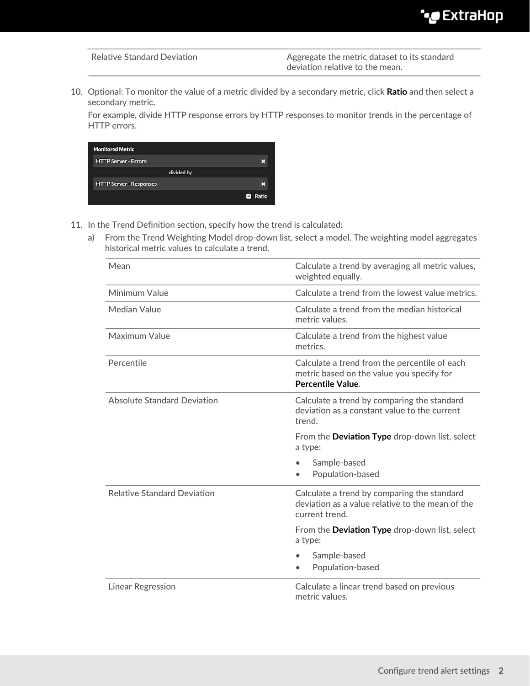Relative Standard Deviation **Aggregate the metric dataset to its standard** deviation relative to the mean.

10. Optional: To monitor the value of a metric divided by a secondary metric, click **Ratio** and then select a secondary metric.

For example, divide HTTP response errors by HTTP responses to monitor trends in the percentage of HTTP errors.

| <b>Monitored Metric</b>        |                |
|--------------------------------|----------------|
| <b>HTTP Server - Errors</b>    | ×              |
| divided by                     |                |
| <b>HTTP Server - Responses</b> | m              |
|                                | <b>Z</b> Ratio |

- 11. In the Trend Definition section, specify how the trend is calculated:
	- a) From the Trend Weighting Model drop-down list, select a model. The weighting model aggregates historical metric values to calculate a trend.

| Mean                               | Calculate a trend by averaging all metric values,<br>weighted equally.                                            |
|------------------------------------|-------------------------------------------------------------------------------------------------------------------|
| Minimum Value                      | Calculate a trend from the lowest value metrics.                                                                  |
| Median Value                       | Calculate a trend from the median historical<br>metric values.                                                    |
| Maximum Value                      | Calculate a trend from the highest value<br>metrics.                                                              |
| Percentile                         | Calculate a trend from the percentile of each<br>metric based on the value you specify for<br>Percentile Value.   |
| <b>Absolute Standard Deviation</b> | Calculate a trend by comparing the standard<br>deviation as a constant value to the current<br>trend.             |
|                                    | From the Deviation Type drop-down list, select                                                                    |
|                                    | a type:                                                                                                           |
|                                    | Sample-based<br>Population-based                                                                                  |
| <b>Relative Standard Deviation</b> | Calculate a trend by comparing the standard<br>deviation as a value relative to the mean of the<br>current trend. |
|                                    | From the <b>Deviation Type</b> drop-down list, select<br>a type:                                                  |
|                                    | Sample-based<br>Population-based<br>$\bullet$                                                                     |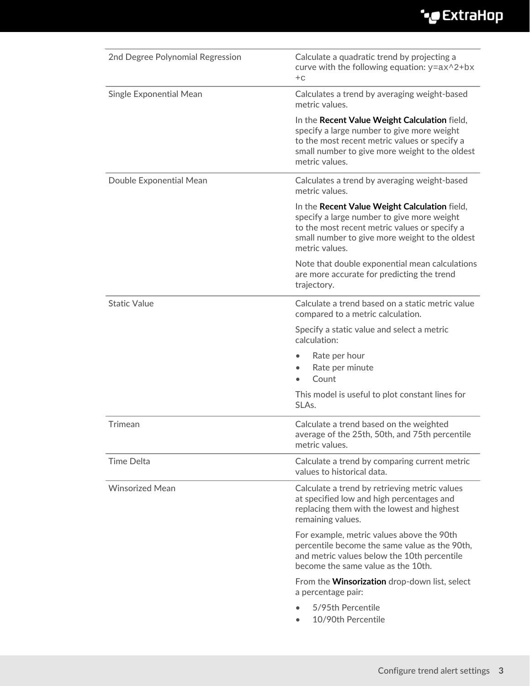## ExtraHop ہے-

| 2nd Degree Polynomial Regression | Calculate a quadratic trend by projecting a<br>curve with the following equation: $y = ax^2 + bx$<br>$+C$                                                                                                        |
|----------------------------------|------------------------------------------------------------------------------------------------------------------------------------------------------------------------------------------------------------------|
| Single Exponential Mean          | Calculates a trend by averaging weight-based<br>metric values.                                                                                                                                                   |
|                                  | In the Recent Value Weight Calculation field,<br>specify a large number to give more weight<br>to the most recent metric values or specify a<br>small number to give more weight to the oldest<br>metric values. |
| Double Exponential Mean          | Calculates a trend by averaging weight-based<br>metric values.                                                                                                                                                   |
|                                  | In the Recent Value Weight Calculation field,<br>specify a large number to give more weight<br>to the most recent metric values or specify a<br>small number to give more weight to the oldest<br>metric values. |
|                                  | Note that double exponential mean calculations<br>are more accurate for predicting the trend<br>trajectory.                                                                                                      |
| <b>Static Value</b>              | Calculate a trend based on a static metric value<br>compared to a metric calculation.                                                                                                                            |
|                                  | Specify a static value and select a metric<br>calculation:                                                                                                                                                       |
|                                  | Rate per hour<br>Rate per minute<br>$\bullet$<br>Count                                                                                                                                                           |
|                                  | This model is useful to plot constant lines for<br>SLAs.                                                                                                                                                         |
| Trimean                          | Calculate a trend based on the weighted<br>average of the 25th, 50th, and 75th percentile<br>metric values.                                                                                                      |
| <b>Time Delta</b>                | Calculate a trend by comparing current metric<br>values to historical data.                                                                                                                                      |
| <b>Winsorized Mean</b>           | Calculate a trend by retrieving metric values<br>at specified low and high percentages and<br>replacing them with the lowest and highest<br>remaining values.                                                    |
|                                  | For example, metric values above the 90th<br>percentile become the same value as the 90th,<br>and metric values below the 10th percentile<br>become the same value as the 10th.                                  |
|                                  | From the Winsorization drop-down list, select<br>a percentage pair:                                                                                                                                              |
|                                  | 5/95th Percentile<br>10/90th Percentile                                                                                                                                                                          |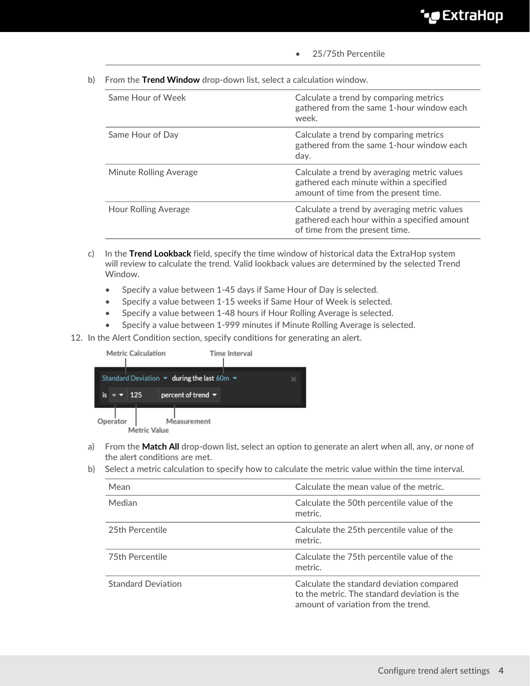- 25/75th Percentile
- b) From the **Trend Window** drop-down list, select a calculation window.

| Same Hour of Week           | Calculate a trend by comparing metrics<br>gathered from the same 1-hour window each<br>week.                                     |
|-----------------------------|----------------------------------------------------------------------------------------------------------------------------------|
| Same Hour of Day            | Calculate a trend by comparing metrics<br>gathered from the same 1-hour window each<br>day.                                      |
| Minute Rolling Average      | Calculate a trend by averaging metric values<br>gathered each minute within a specified<br>amount of time from the present time. |
| <b>Hour Rolling Average</b> | Calculate a trend by averaging metric values<br>gathered each hour within a specified amount<br>of time from the present time.   |
|                             |                                                                                                                                  |

- c) In the **Trend Lookback** field, specify the time window of historical data the ExtraHop system will review to calculate the trend. Valid lookback values are determined by the selected Trend Window.
	- Specify a value between 1-45 days if Same Hour of Day is selected.
	- Specify a value between 1-15 weeks if Same Hour of Week is selected.
	- Specify a value between 1-48 hours if Hour Rolling Average is selected.
	- Specify a value between 1-999 minutes if Minute Rolling Average is selected.
- 12. In the Alert Condition section, specify conditions for generating an alert.



- a) From the **Match All** drop-down list, select an option to generate an alert when all, any, or none of the alert conditions are met.
- b) Select a metric calculation to specify how to calculate the metric value within the time interval.

| Mean                      | Calculate the mean value of the metric.                                                                                          |
|---------------------------|----------------------------------------------------------------------------------------------------------------------------------|
| Median                    | Calculate the 50th percentile value of the<br>metric.                                                                            |
| 25th Percentile           | Calculate the 25th percentile value of the<br>metric.                                                                            |
| 75th Percentile           | Calculate the 75th percentile value of the<br>metric.                                                                            |
| <b>Standard Deviation</b> | Calculate the standard deviation compared<br>to the metric. The standard deviation is the<br>amount of variation from the trend. |